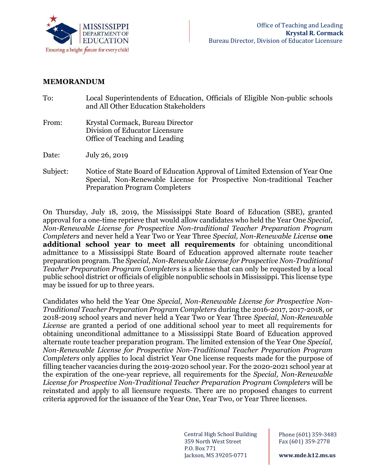

## **MEMORANDUM**

| To:      | Local Superintendents of Education, Officials of Eligible Non-public schools<br>and All Other Education Stakeholders |
|----------|----------------------------------------------------------------------------------------------------------------------|
| From:    | Krystal Cormack, Bureau Director<br>Division of Educator Licensure<br>Office of Teaching and Leading                 |
| Date:    | July 26, 2019                                                                                                        |
| Subject: | Notice of State Board of Education Approval of Limited Extension of Year One                                         |

Preparation Program Completers

Special, Non-Renewable License for Prospective Non-traditional Teacher

On Thursday, July 18, 2019, the Mississippi State Board of Education (SBE), granted approval for a one-time reprieve that would allow candidates who held the Year One *Special, Non-Renewable License for Prospective Non-traditional Teacher Preparation Program Completers* and never held a Year Two or Year Three *Special, Non-Renewable License* **one additional school year to meet all requirements** for obtaining unconditional admittance to a Mississippi State Board of Education approved alternate route teacher preparation program. The *Special, Non-Renewable License for Prospective Non-Traditional Teacher Preparation Program Completers* is a license that can only be requested by a local public school district or officials of eligible nonpublic schools in Mississippi. This license type may be issued for up to three years.

Candidates who held the Year One *Special, Non-Renewable License for Prospective Non-Traditional Teacher Preparation Program Completers* during the 2016-2017, 2017-2018, or 2018-2019 school years and never held a Year Two or Year Three *Special, Non-Renewable License* are granted a period of one additional school year to meet all requirements for obtaining unconditional admittance to a Mississippi State Board of Education approved alternate route teacher preparation program. The limited extension of the Year One *Special, Non-Renewable License for Prospective Non-Traditional Teacher Preparation Program Completers* only applies to local district Year One license requests made for the purpose of filling teacher vacancies during the 2019-2020 school year. For the 2020-2021 school year at the expiration of the one-year reprieve, all requirements for the *Special, Non-Renewable License for Prospective Non-Traditional Teacher Preparation Program Completers* will be reinstated and apply to all licensure requests. There are no proposed changes to current criteria approved for the issuance of the Year One, Year Two, or Year Three licenses.

> Central High School Building 359 North West Street P.O. Box 771 Jackson, MS 39205-0771

1 Fax (601) 359-2778 Phone (601) 359-3483